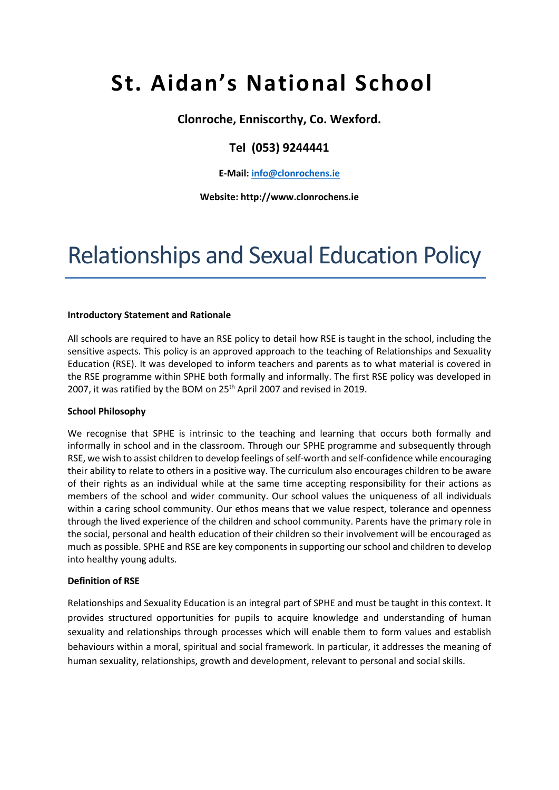# **St. Aidan's National School**

**Clonroche, Enniscorthy, Co. Wexford.**

# **Tel (053) 9244441**

# **E-Mail: [info@clonrochens.ie](mailto:info@clonrochens.ie)**

# **Website: http://www.clonrochens.ie**

# Relationships and Sexual Education Policy

#### **Introductory Statement and Rationale**

All schools are required to have an RSE policy to detail how RSE is taught in the school, including the sensitive aspects. This policy is an approved approach to the teaching of Relationships and Sexuality Education (RSE). It was developed to inform teachers and parents as to what material is covered in the RSE programme within SPHE both formally and informally. The first RSE policy was developed in 2007, it was ratified by the BOM on 25<sup>th</sup> April 2007 and revised in 2019.

#### **School Philosophy**

We recognise that SPHE is intrinsic to the teaching and learning that occurs both formally and informally in school and in the classroom. Through our SPHE programme and subsequently through RSE, we wish to assist children to develop feelings of self-worth and self-confidence while encouraging their ability to relate to others in a positive way. The curriculum also encourages children to be aware of their rights as an individual while at the same time accepting responsibility for their actions as members of the school and wider community. Our school values the uniqueness of all individuals within a caring school community. Our ethos means that we value respect, tolerance and openness through the lived experience of the children and school community. Parents have the primary role in the social, personal and health education of their children so their involvement will be encouraged as much as possible. SPHE and RSE are key components in supporting our school and children to develop into healthy young adults.

#### **Definition of RSE**

Relationships and Sexuality Education is an integral part of SPHE and must be taught in this context. It provides structured opportunities for pupils to acquire knowledge and understanding of human sexuality and relationships through processes which will enable them to form values and establish behaviours within a moral, spiritual and social framework. In particular, it addresses the meaning of human sexuality, relationships, growth and development, relevant to personal and social skills.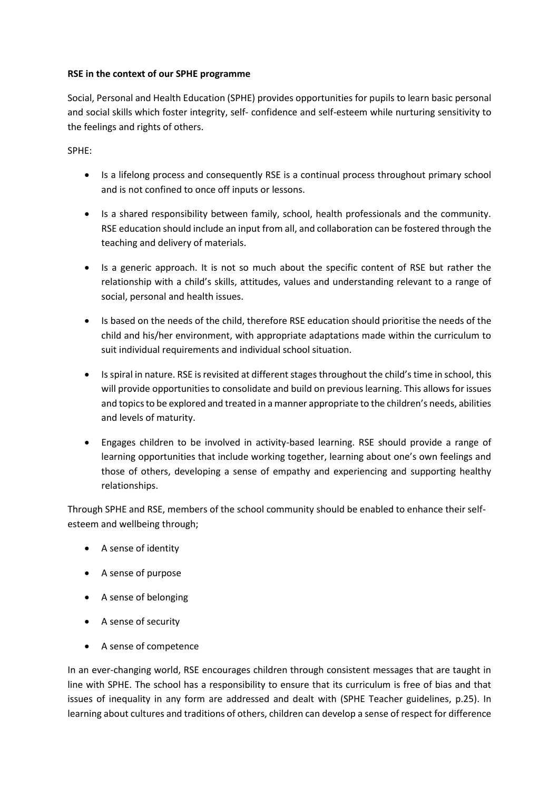# **RSE in the context of our SPHE programme**

Social, Personal and Health Education (SPHE) provides opportunities for pupils to learn basic personal and social skills which foster integrity, self- confidence and self-esteem while nurturing sensitivity to the feelings and rights of others.

SPHE:

- Is a lifelong process and consequently RSE is a continual process throughout primary school and is not confined to once off inputs or lessons.
- Is a shared responsibility between family, school, health professionals and the community. RSE education should include an input from all, and collaboration can be fostered through the teaching and delivery of materials.
- Is a generic approach. It is not so much about the specific content of RSE but rather the relationship with a child's skills, attitudes, values and understanding relevant to a range of social, personal and health issues.
- Is based on the needs of the child, therefore RSE education should prioritise the needs of the child and his/her environment, with appropriate adaptations made within the curriculum to suit individual requirements and individual school situation.
- Is spiral in nature. RSE is revisited at different stages throughout the child's time in school, this will provide opportunities to consolidate and build on previous learning. This allows for issues and topics to be explored and treated in a manner appropriate to the children's needs, abilities and levels of maturity.
- Engages children to be involved in activity-based learning. RSE should provide a range of learning opportunities that include working together, learning about one's own feelings and those of others, developing a sense of empathy and experiencing and supporting healthy relationships.

Through SPHE and RSE, members of the school community should be enabled to enhance their selfesteem and wellbeing through;

- A sense of identity
- A sense of purpose
- A sense of belonging
- A sense of security
- A sense of competence

In an ever-changing world, RSE encourages children through consistent messages that are taught in line with SPHE. The school has a responsibility to ensure that its curriculum is free of bias and that issues of inequality in any form are addressed and dealt with (SPHE Teacher guidelines, p.25). In learning about cultures and traditions of others, children can develop a sense of respect for difference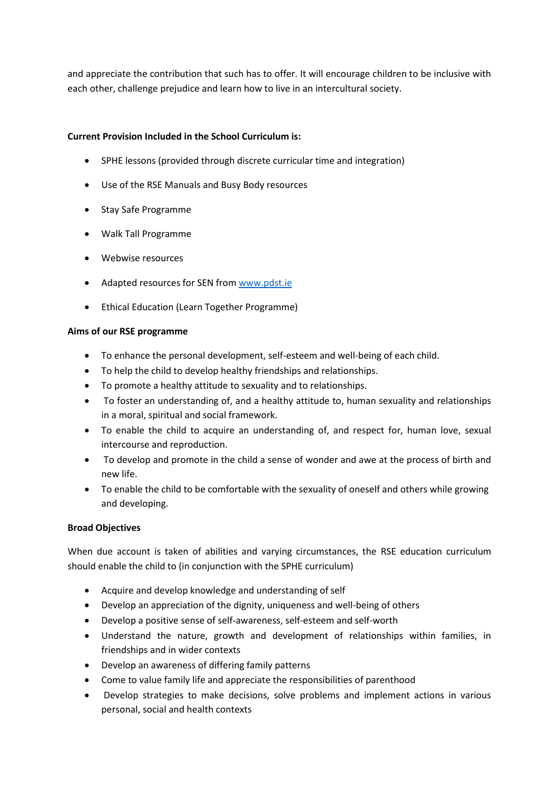and appreciate the contribution that such has to offer. It will encourage children to be inclusive with each other, challenge prejudice and learn how to live in an intercultural society.

# **Current Provision Included in the School Curriculum is:**

- SPHE lessons (provided through discrete curricular time and integration)
- Use of the RSE Manuals and Busy Body resources
- Stay Safe Programme
- Walk Tall Programme
- Webwise resources
- Adapted resources for SEN from [www.pdst.ie](http://www.pdst.ie/)
- Ethical Education (Learn Together Programme)

# **Aims of our RSE programme**

- To enhance the personal development, self-esteem and well-being of each child.
- To help the child to develop healthy friendships and relationships.
- To promote a healthy attitude to sexuality and to relationships.
- To foster an understanding of, and a healthy attitude to, human sexuality and relationships in a moral, spiritual and social framework.
- To enable the child to acquire an understanding of, and respect for, human love, sexual intercourse and reproduction.
- To develop and promote in the child a sense of wonder and awe at the process of birth and new life.
- To enable the child to be comfortable with the sexuality of oneself and others while growing and developing.

# **Broad Objectives**

When due account is taken of abilities and varying circumstances, the RSE education curriculum should enable the child to (in conjunction with the SPHE curriculum)

- Acquire and develop knowledge and understanding of self
- Develop an appreciation of the dignity, uniqueness and well-being of others
- Develop a positive sense of self-awareness, self-esteem and self-worth
- Understand the nature, growth and development of relationships within families, in friendships and in wider contexts
- Develop an awareness of differing family patterns
- Come to value family life and appreciate the responsibilities of parenthood
- Develop strategies to make decisions, solve problems and implement actions in various personal, social and health contexts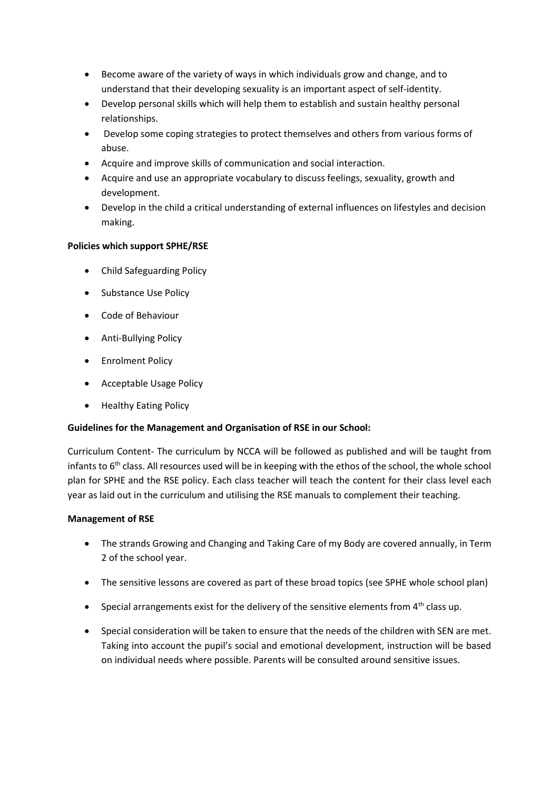- Become aware of the variety of ways in which individuals grow and change, and to understand that their developing sexuality is an important aspect of self-identity.
- Develop personal skills which will help them to establish and sustain healthy personal relationships.
- Develop some coping strategies to protect themselves and others from various forms of abuse.
- Acquire and improve skills of communication and social interaction.
- Acquire and use an appropriate vocabulary to discuss feelings, sexuality, growth and development.
- Develop in the child a critical understanding of external influences on lifestyles and decision making.

# **Policies which support SPHE/RSE**

- Child Safeguarding Policy
- Substance Use Policy
- Code of Behaviour
- Anti-Bullying Policy
- **•** Enrolment Policy
- Acceptable Usage Policy
- Healthy Eating Policy

# **Guidelines for the Management and Organisation of RSE in our School:**

Curriculum Content- The curriculum by NCCA will be followed as published and will be taught from infants to  $6<sup>th</sup>$  class. All resources used will be in keeping with the ethos of the school, the whole school plan for SPHE and the RSE policy. Each class teacher will teach the content for their class level each year as laid out in the curriculum and utilising the RSE manuals to complement their teaching.

# **Management of RSE**

- The strands Growing and Changing and Taking Care of my Body are covered annually, in Term 2 of the school year.
- The sensitive lessons are covered as part of these broad topics (see SPHE whole school plan)
- Special arrangements exist for the delivery of the sensitive elements from  $4<sup>th</sup>$  class up.
- Special consideration will be taken to ensure that the needs of the children with SEN are met. Taking into account the pupil's social and emotional development, instruction will be based on individual needs where possible. Parents will be consulted around sensitive issues.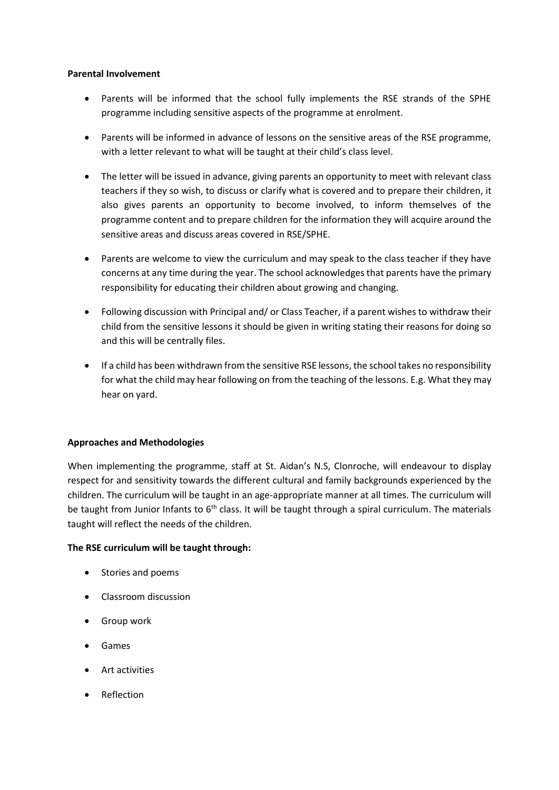#### **Parental Involvement**

- Parents will be informed that the school fully implements the RSE strands of the SPHE programme including sensitive aspects of the programme at enrolment.
- Parents will be informed in advance of lessons on the sensitive areas of the RSE programme, with a letter relevant to what will be taught at their child's class level.
- The letter will be issued in advance, giving parents an opportunity to meet with relevant class teachers if they so wish, to discuss or clarify what is covered and to prepare their children, it also gives parents an opportunity to become involved, to inform themselves of the programme content and to prepare children for the information they will acquire around the sensitive areas and discuss areas covered in RSE/SPHE.
- Parents are welcome to view the curriculum and may speak to the class teacher if they have concerns at any time during the year. The school acknowledges that parents have the primary responsibility for educating their children about growing and changing.
- Following discussion with Principal and/ or Class Teacher, if a parent wishes to withdraw their child from the sensitive lessons it should be given in writing stating their reasons for doing so and this will be centrally files.
- If a child has been withdrawn from the sensitive RSE lessons, the school takes no responsibility for what the child may hear following on from the teaching of the lessons. E.g. What they may hear on yard.

#### **Approaches and Methodologies**

When implementing the programme, staff at St. Aidan's N.S, Clonroche, will endeavour to display respect for and sensitivity towards the different cultural and family backgrounds experienced by the children. The curriculum will be taught in an age-appropriate manner at all times. The curriculum will be taught from Junior Infants to 6<sup>th</sup> class. It will be taught through a spiral curriculum. The materials taught will reflect the needs of the children.

#### **The RSE curriculum will be taught through:**

- Stories and poems
- Classroom discussion
- Group work
- Games
- Art activities
- Reflection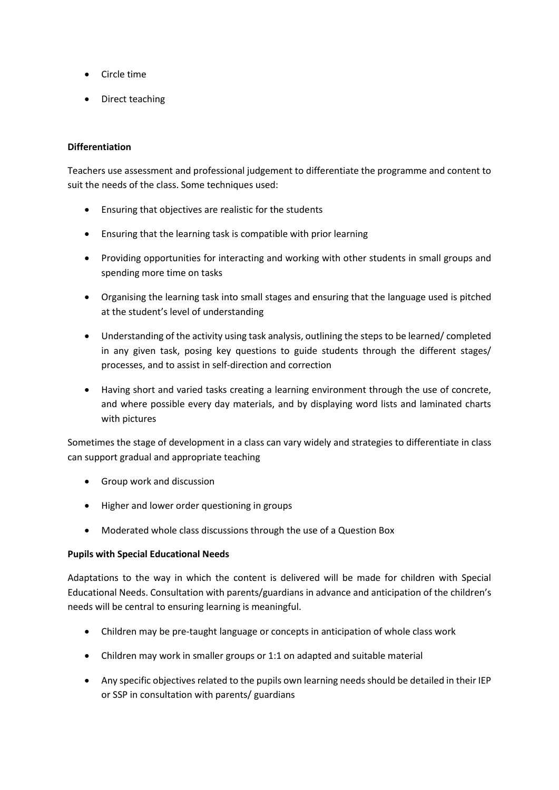- Circle time
- Direct teaching

# **Differentiation**

Teachers use assessment and professional judgement to differentiate the programme and content to suit the needs of the class. Some techniques used:

- Ensuring that objectives are realistic for the students
- Ensuring that the learning task is compatible with prior learning
- Providing opportunities for interacting and working with other students in small groups and spending more time on tasks
- Organising the learning task into small stages and ensuring that the language used is pitched at the student's level of understanding
- Understanding of the activity using task analysis, outlining the steps to be learned/ completed in any given task, posing key questions to guide students through the different stages/ processes, and to assist in self-direction and correction
- Having short and varied tasks creating a learning environment through the use of concrete, and where possible every day materials, and by displaying word lists and laminated charts with pictures

Sometimes the stage of development in a class can vary widely and strategies to differentiate in class can support gradual and appropriate teaching

- Group work and discussion
- Higher and lower order questioning in groups
- Moderated whole class discussions through the use of a Question Box

# **Pupils with Special Educational Needs**

Adaptations to the way in which the content is delivered will be made for children with Special Educational Needs. Consultation with parents/guardians in advance and anticipation of the children's needs will be central to ensuring learning is meaningful.

- Children may be pre-taught language or concepts in anticipation of whole class work
- Children may work in smaller groups or 1:1 on adapted and suitable material
- Any specific objectives related to the pupils own learning needs should be detailed in their IEP or SSP in consultation with parents/ guardians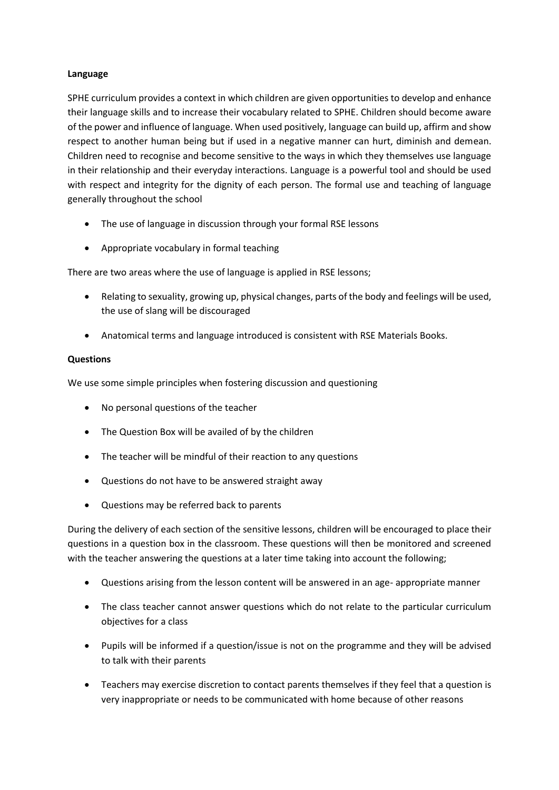#### **Language**

SPHE curriculum provides a context in which children are given opportunities to develop and enhance their language skills and to increase their vocabulary related to SPHE. Children should become aware of the power and influence of language. When used positively, language can build up, affirm and show respect to another human being but if used in a negative manner can hurt, diminish and demean. Children need to recognise and become sensitive to the ways in which they themselves use language in their relationship and their everyday interactions. Language is a powerful tool and should be used with respect and integrity for the dignity of each person. The formal use and teaching of language generally throughout the school

- The use of language in discussion through your formal RSE lessons
- Appropriate vocabulary in formal teaching

There are two areas where the use of language is applied in RSE lessons;

- Relating to sexuality, growing up, physical changes, parts of the body and feelings will be used, the use of slang will be discouraged
- Anatomical terms and language introduced is consistent with RSE Materials Books.

#### **Questions**

We use some simple principles when fostering discussion and questioning

- No personal questions of the teacher
- The Question Box will be availed of by the children
- The teacher will be mindful of their reaction to any questions
- Questions do not have to be answered straight away
- Questions may be referred back to parents

During the delivery of each section of the sensitive lessons, children will be encouraged to place their questions in a question box in the classroom. These questions will then be monitored and screened with the teacher answering the questions at a later time taking into account the following;

- Questions arising from the lesson content will be answered in an age- appropriate manner
- The class teacher cannot answer questions which do not relate to the particular curriculum objectives for a class
- Pupils will be informed if a question/issue is not on the programme and they will be advised to talk with their parents
- Teachers may exercise discretion to contact parents themselves if they feel that a question is very inappropriate or needs to be communicated with home because of other reasons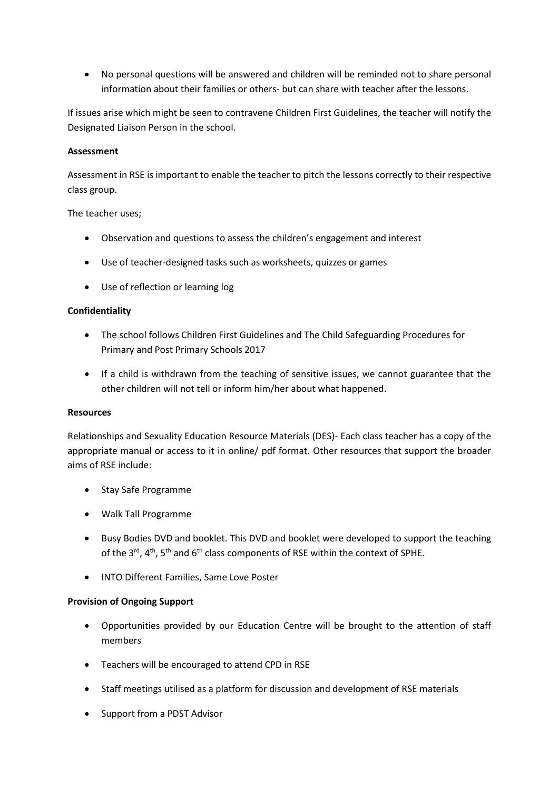No personal questions will be answered and children will be reminded not to share personal information about their families or others- but can share with teacher after the lessons.

If issues arise which might be seen to contravene Children First Guidelines, the teacher will notify the Designated Liaison Person in the school.

#### **Assessment**

Assessment in RSE is important to enable the teacher to pitch the lessons correctly to their respective class group.

#### The teacher uses;

- Observation and questions to assess the children's engagement and interest
- Use of teacher-designed tasks such as worksheets, quizzes or games
- Use of reflection or learning log

# **Confidentiality**

- The school follows Children First Guidelines and The Child Safeguarding Procedures for Primary and Post Primary Schools 2017
- If a child is withdrawn from the teaching of sensitive issues, we cannot guarantee that the other children will not tell or inform him/her about what happened.

#### **Resources**

Relationships and Sexuality Education Resource Materials (DES)- Each class teacher has a copy of the appropriate manual or access to it in online/ pdf format. Other resources that support the broader aims of RSE include:

- Stay Safe Programme
- Walk Tall Programme
- Busy Bodies DVD and booklet. This DVD and booklet were developed to support the teaching of the  $3^{rd}$ ,  $4^{th}$ ,  $5^{th}$  and  $6^{th}$  class components of RSE within the context of SPHE.
- INTO Different Families, Same Love Poster

#### **Provision of Ongoing Support**

- Opportunities provided by our Education Centre will be brought to the attention of staff members
- Teachers will be encouraged to attend CPD in RSE
- Staff meetings utilised as a platform for discussion and development of RSE materials
- Support from a PDST Advisor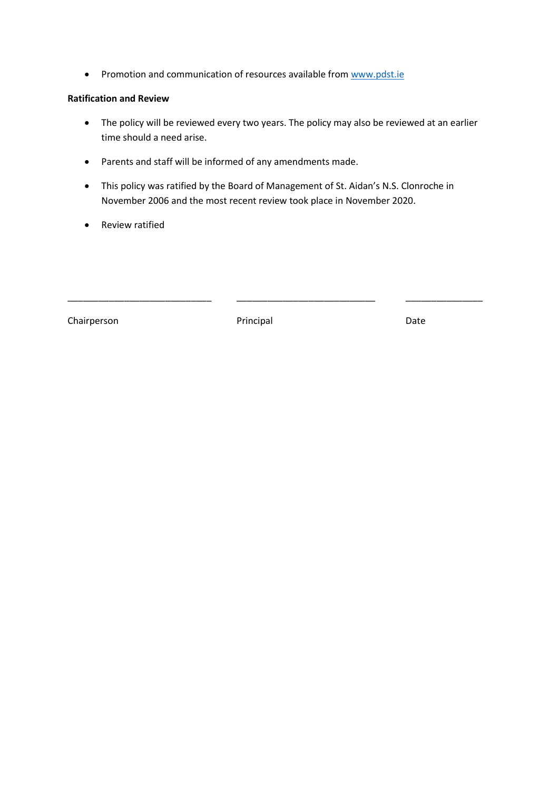• Promotion and communication of resources available fro[m www.pdst.ie](http://www.pdst.ie/)

## **Ratification and Review**

- The policy will be reviewed every two years. The policy may also be reviewed at an earlier time should a need arise.
- Parents and staff will be informed of any amendments made.
- This policy was ratified by the Board of Management of St. Aidan's N.S. Clonroche in November 2006 and the most recent review took place in November 2020.
- Review ratified

Chairperson **Date** Principal Principal Date

\_\_\_\_\_\_\_\_\_\_\_\_\_\_\_\_\_\_\_\_\_\_\_\_\_\_\_\_ \_\_\_\_\_\_\_\_\_\_\_\_\_\_\_\_\_\_\_\_\_\_\_\_\_\_\_ \_\_\_\_\_\_\_\_\_\_\_\_\_\_\_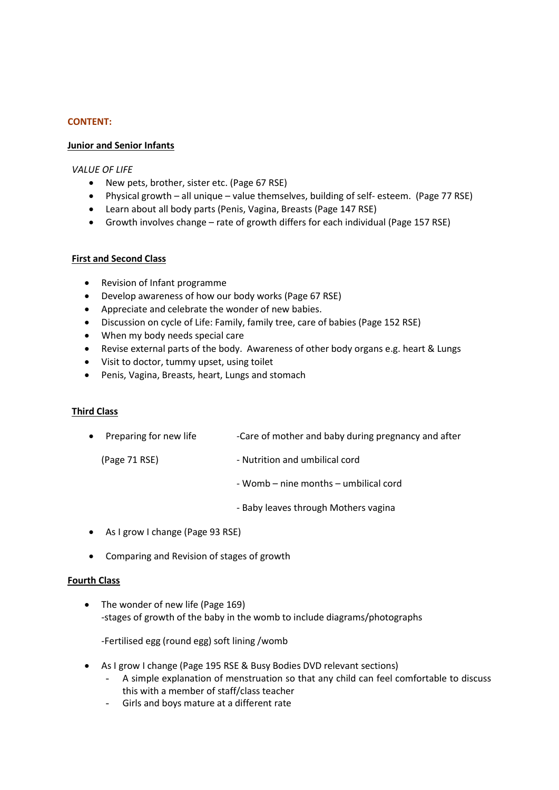# **CONTENT:**

#### **Junior and Senior Infants**

#### *VALUE OF LIFE*

- New pets, brother, sister etc. (Page 67 RSE)
- Physical growth all unique value themselves, building of self- esteem. (Page 77 RSE)
- Learn about all body parts (Penis, Vagina, Breasts (Page 147 RSE)
- Growth involves change rate of growth differs for each individual (Page 157 RSE)

#### **First and Second Class**

- Revision of Infant programme
- Develop awareness of how our body works (Page 67 RSE)
- Appreciate and celebrate the wonder of new babies.
- Discussion on cycle of Life: Family, family tree, care of babies (Page 152 RSE)
- When my body needs special care
- Revise external parts of the body. Awareness of other body organs e.g. heart & Lungs
- Visit to doctor, tummy upset, using toilet
- Penis, Vagina, Breasts, heart, Lungs and stomach

#### **Third Class**

- Preparing for new life -Care of mother and baby during pregnancy and after
	- (Page 71 RSE) Nutrition and umbilical cord
		- Womb nine months umbilical cord
		- Baby leaves through Mothers vagina
- As I grow I change (Page 93 RSE)
- Comparing and Revision of stages of growth

#### **Fourth Class**

• The wonder of new life (Page 169) -stages of growth of the baby in the womb to include diagrams/photographs

-Fertilised egg (round egg) soft lining /womb

- As I grow I change (Page 195 RSE & Busy Bodies DVD relevant sections)
	- A simple explanation of menstruation so that any child can feel comfortable to discuss this with a member of staff/class teacher
	- Girls and boys mature at a different rate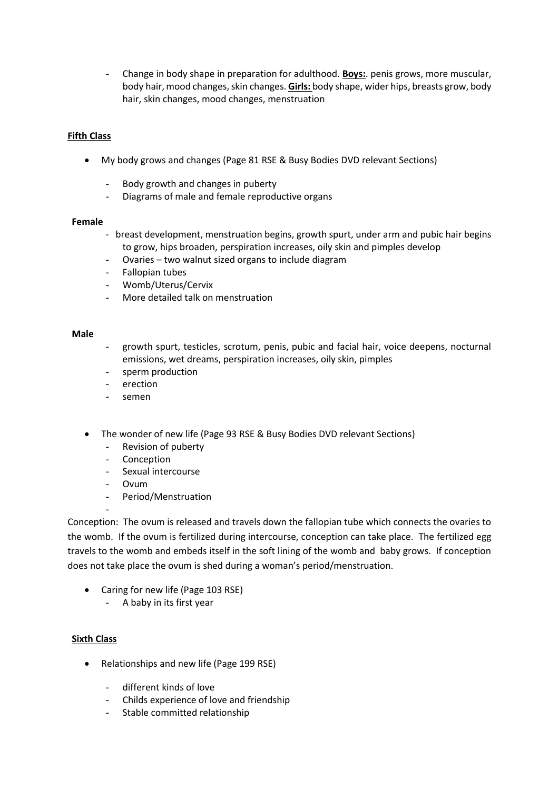- Change in body shape in preparation for adulthood. **Boys:**. penis grows, more muscular, body hair, mood changes, skin changes. **Girls:** body shape, wider hips, breasts grow, body hair, skin changes, mood changes, menstruation

# **Fifth Class**

- My body grows and changes (Page 81 RSE & Busy Bodies DVD relevant Sections)
	- Body growth and changes in puberty
	- Diagrams of male and female reproductive organs

#### **Female**

- breast development, menstruation begins, growth spurt, under arm and pubic hair begins to grow, hips broaden, perspiration increases, oily skin and pimples develop
- Ovaries two walnut sized organs to include diagram
- Fallopian tubes
- Womb/Uterus/Cervix
- More detailed talk on menstruation

#### **Male**

- growth spurt, testicles, scrotum, penis, pubic and facial hair, voice deepens, nocturnal emissions, wet dreams, perspiration increases, oily skin, pimples
- sperm production
- erection
- semen
- The wonder of new life (Page 93 RSE & Busy Bodies DVD relevant Sections)
	- Revision of puberty
	- Conception
	- Sexual intercourse
	- Ovum

-

- Period/Menstruation

Conception: The ovum is released and travels down the fallopian tube which connects the ovaries to the womb. If the ovum is fertilized during intercourse, conception can take place. The fertilized egg travels to the womb and embeds itself in the soft lining of the womb and baby grows. If conception does not take place the ovum is shed during a woman's period/menstruation.

- Caring for new life (Page 103 RSE)
	- A baby in its first year

#### **Sixth Class**

- Relationships and new life (Page 199 RSE)
	- different kinds of love
	- Childs experience of love and friendship
	- Stable committed relationship